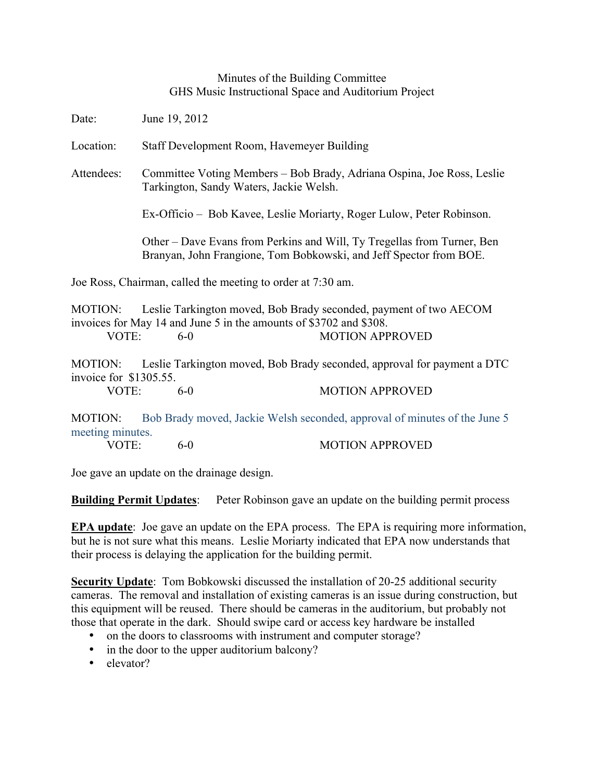## Minutes of the Building Committee GHS Music Instructional Space and Auditorium Project

Date: June 19, 2012

Location: Staff Development Room, Havemeyer Building

Attendees: Committee Voting Members – Bob Brady, Adriana Ospina, Joe Ross, Leslie Tarkington, Sandy Waters, Jackie Welsh.

Ex-Officio – Bob Kavee, Leslie Moriarty, Roger Lulow, Peter Robinson.

Other – Dave Evans from Perkins and Will, Ty Tregellas from Turner, Ben Branyan, John Frangione, Tom Bobkowski, and Jeff Spector from BOE.

Joe Ross, Chairman, called the meeting to order at 7:30 am.

MOTION: Leslie Tarkington moved, Bob Brady seconded, payment of two AECOM invoices for May 14 and June 5 in the amounts of \$3702 and \$308. VOTE: 6-0 6-0 MOTION APPROVED

MOTION: Leslie Tarkington moved, Bob Brady seconded, approval for payment a DTC invoice for \$1305.55.

VOTE: 6-0 MOTION APPROVED

MOTION: Bob Brady moved, Jackie Welsh seconded, approval of minutes of the June 5 meeting minutes.

| VOTE:<br>6-0 | <b>MOTION APPROVED</b> |
|--------------|------------------------|
|--------------|------------------------|

Joe gave an update on the drainage design.

**Building Permit Updates**: Peter Robinson gave an update on the building permit process

**EPA update**: Joe gave an update on the EPA process. The EPA is requiring more information, but he is not sure what this means. Leslie Moriarty indicated that EPA now understands that their process is delaying the application for the building permit.

**Security Update**: Tom Bobkowski discussed the installation of 20-25 additional security cameras. The removal and installation of existing cameras is an issue during construction, but this equipment will be reused. There should be cameras in the auditorium, but probably not those that operate in the dark. Should swipe card or access key hardware be installed

- on the doors to classrooms with instrument and computer storage?
- in the door to the upper auditorium balcony?
- elevator?